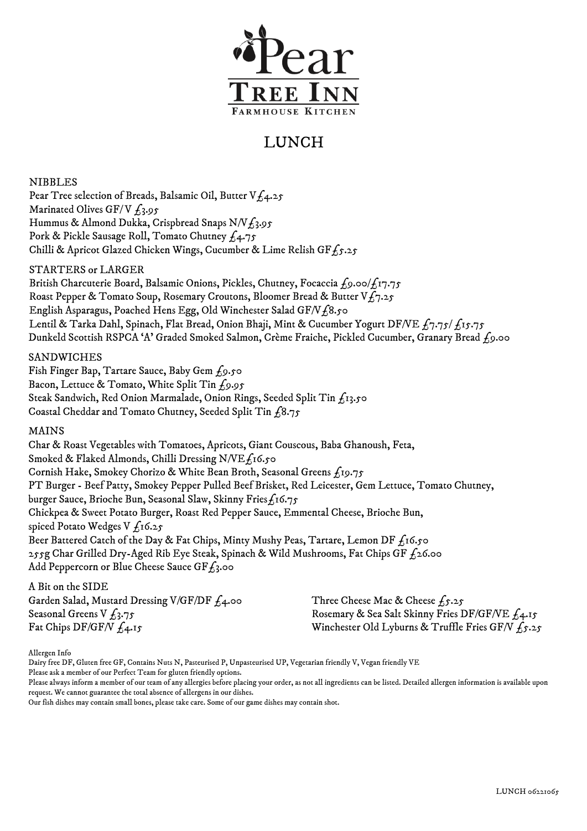

# LUNCH

NIBBLES Pear Tree selection of Breads, Balsamic Oil, Butter V $f_4.25$ Marinated Olives GF/V  $f_3.95$ Hummus & Almond Dukka, Crispbread Snaps N/V $f_3.95$ Pork & Pickle Sausage Roll, Tomato Chutney £4.75 Chilli & Apricot Glazed Chicken Wings, Cucumber & Lime Relish GF $f_5.25$ 

## STARTERS or LARGER

British Charcuterie Board, Balsamic Onions, Pickles, Chutney, Focaccia £9.00/£17.75 Roast Pepper & Tomato Soup, Rosemary Croutons, Bloomer Bread & Butter V $f_7.25$ English Asparagus, Poached Hens Egg, Old Winchester Salad GF/V f8.50 Lentil & Tarka Dahl, Spinach, Flat Bread, Onion Bhaji, Mint & Cucumber Yogurt DF/VE  $f_7.75/f_15.75$ Dunkeld Scottish RSPCA 'A' Graded Smoked Salmon, Crème Fraiche, Pickled Cucumber, Granary Bread £9.00

### SANDWICHES

Fish Finger Bap, Tartare Sauce, Baby Gem  $f_9.50$ Bacon, Lettuce & Tomato, White Split Tin £9.95 Steak Sandwich, Red Onion Marmalade, Onion Rings, Seeded Split Tin £13.50 Coastal Cheddar and Tomato Chutney, Seeded Split Tin £8.75

### MAINS

Char & Roast Vegetables with Tomatoes, Apricots, Giant Couscous, Baba Ghanoush, Feta, Smoked & Flaked Almonds, Chilli Dressing N/VE f16.50 Cornish Hake, Smokey Chorizo & White Bean Broth, Seasonal Greens £19.75 PT Burger - Beef Patty, Smokey Pepper Pulled Beef Brisket, Red Leicester, Gem Lettuce, Tomato Chutney, burger Sauce, Brioche Bun, Seasonal Slaw, Skinny Fries $f_1$ 16.75 Chickpea & Sweet Potato Burger, Roast Red Pepper Sauce, Emmental Cheese, Brioche Bun, spiced Potato Wedges V  $f_1$ 6.25 Beer Battered Catch of the Day & Fat Chips, Minty Mushy Peas, Tartare, Lemon DF  $f_1$ 6.50 255g Char Grilled Dry-Aged Rib Eye Steak, Spinach & Wild Mushrooms, Fat Chips GF  $f_2$ 6.00 Add Peppercorn or Blue Cheese Sauce GF $f_3$ .00

#### A Bit on the SIDE

Garden Salad, Mustard Dressing V/GF/DF £4.00 Seasonal Greens V  $f_3.75$ Fat Chips DF/GF/V  $f_4$ .15

Three Cheese Mac & Cheese  $f_5.25$ Rosemary & Sea Salt Skinny Fries DF/GF/VE  $f_14.15$ Winchester Old Lyburns & Truffle Fries GF/V  $f_5.25$ 

Allergen Info

Dairy free DF, Gluten free GF, Contains Nuts N, Pasteurised P, Unpasteurised UP, Vegetarian friendly V, Vegan friendly VE

Please ask a member of our Perfect Team for gluten friendly options.

Please always inform a member of our team of any allergies before placing your order, as not all ingredients can be listed. Detailed allergen information is available upon request. We cannot guarantee the total absence of allergens in our dishes.

Our fish dishes may contain small bones, please take care. Some of our game dishes may contain shot.